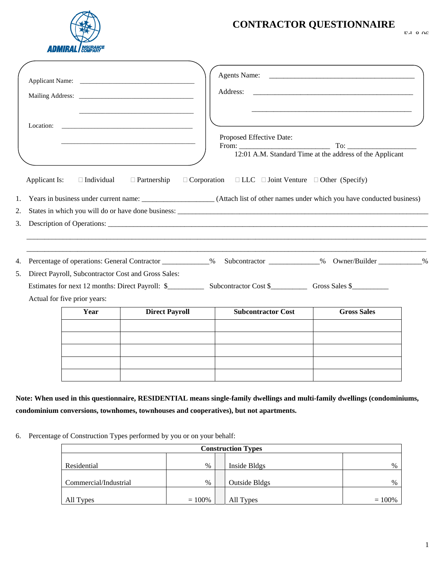

## **CONTRACTOR QUESTIONNAIRE**

| 2.<br>3. | Applicant Is:                                                                          | $\Box$ Partnership    | $\Box$ Corporation $\Box$ LLC $\Box$ Joint Venture $\Box$ Other (Specify)<br>1. Years in business under current name: __________________(Attach list of other names under which you have conducted business) |                    |  |
|----------|----------------------------------------------------------------------------------------|-----------------------|--------------------------------------------------------------------------------------------------------------------------------------------------------------------------------------------------------------|--------------------|--|
|          |                                                                                        |                       | Description of Operations:                                                                                                                                                                                   |                    |  |
|          |                                                                                        |                       | 4. Percentage of operations: General Contractor ____________% Subcontractor _____________% Owner/Builder __________%                                                                                         |                    |  |
|          | 5. Direct Payroll, Subcontractor Cost and Gross Sales:<br>Actual for five prior years: |                       |                                                                                                                                                                                                              |                    |  |
|          | Year                                                                                   | <b>Direct Payroll</b> | <b>Subcontractor Cost</b>                                                                                                                                                                                    | <b>Gross Sales</b> |  |

**Note: When used in this questionnaire, RESIDENTIAL means single-family dwellings and multi-family dwellings (condominiums, condominium conversions, townhomes, townhouses and cooperatives), but not apartments.**

6. Percentage of Construction Types performed by you or on your behalf:

| <b>Construction Types</b> |           |  |                      |           |  |
|---------------------------|-----------|--|----------------------|-----------|--|
| Residential               | $\%$      |  | Inside Bldgs         | $\%$      |  |
|                           |           |  |                      |           |  |
| Commercial/Industrial     | $\%$      |  | <b>Outside Bldgs</b> | $\%$      |  |
| All Types                 | $= 100\%$ |  | All Types            | $= 100\%$ |  |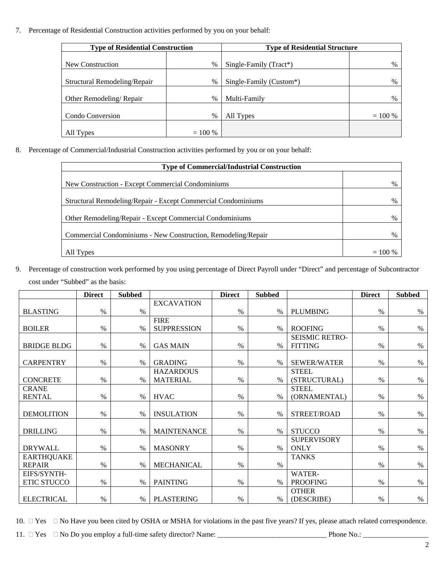7. Percentage of Residential Construction activities performed by you on your behalf:

| <b>Type of Residential Construction</b> |               | <b>Type of Residential Structure</b> |           |  |
|-----------------------------------------|---------------|--------------------------------------|-----------|--|
|                                         |               |                                      |           |  |
| New Construction                        | %             | Single-Family (Tract*)               | $\%$      |  |
|                                         |               |                                      |           |  |
| Structural Remodeling/Repair            | %             | Single-Family (Custom*)              | %         |  |
|                                         |               |                                      |           |  |
| Other Remodeling/Repair                 | $\frac{0}{0}$ | Multi-Family                         | $\%$      |  |
|                                         |               |                                      |           |  |
| Condo Conversion                        | %             | All Types                            | $= 100 %$ |  |
|                                         |               |                                      |           |  |
| All Types                               | $= 100 %$     |                                      |           |  |

8. Percentage of Commercial/Industrial Construction activities performed by you or on your behalf:

| <b>Type of Commercial/Industrial Construction</b>             |           |  |  |
|---------------------------------------------------------------|-----------|--|--|
|                                                               |           |  |  |
| New Construction - Except Commercial Condominiums             | $\%$      |  |  |
|                                                               |           |  |  |
| Structural Remodeling/Repair - Except Commercial Condominiums | %         |  |  |
|                                                               |           |  |  |
| Other Remodeling/Repair - Except Commercial Condominiums      | $\%$      |  |  |
|                                                               |           |  |  |
| Commercial Condominiums - New Construction, Remodeling/Repair | $\%$      |  |  |
|                                                               |           |  |  |
| All Types                                                     | $= 100 %$ |  |  |

9. Percentage of construction work performed by you using percentage of Direct Payroll under "Direct" and percentage of Subcontractor cost under "Subbed" as the basis:

|                    | <b>Direct</b> | <b>Subbed</b> |                    | <b>Direct</b> | <b>Subbed</b> |                                   | <b>Direct</b> | <b>Subbed</b> |
|--------------------|---------------|---------------|--------------------|---------------|---------------|-----------------------------------|---------------|---------------|
|                    |               |               | <b>EXCAVATION</b>  |               |               |                                   |               |               |
| <b>BLASTING</b>    | $\%$          | %             |                    | $\%$          | %             | <b>PLUMBING</b>                   | $\%$          | $\%$          |
|                    |               |               | <b>FIRE</b>        |               |               |                                   |               |               |
| <b>BOILER</b>      | $\%$          | %             | <b>SUPPRESSION</b> | $\%$          | %             | <b>ROOFING</b>                    | $\%$          | $\%$          |
|                    |               |               |                    |               |               | <b>SEISMIC RETRO-</b>             |               |               |
| <b>BRIDGE BLDG</b> | %             | $\%$          | <b>GAS MAIN</b>    | $\%$          | $\%$          | <b>FITTING</b>                    | $\%$          | %             |
|                    |               |               |                    |               |               |                                   |               |               |
| <b>CARPENTRY</b>   | $\%$          | $\%$          | <b>GRADING</b>     | %             | %             | <b>SEWER/WATER</b>                | $\%$          | $\%$          |
|                    |               |               | <b>HAZARDOUS</b>   |               |               | <b>STEEL</b>                      |               |               |
| <b>CONCRETE</b>    | $\%$          | $\%$          | <b>MATERIAL</b>    | $\%$          | %             | (STRUCTURAL)                      | $\%$          | $\%$          |
| <b>CRANE</b>       |               |               |                    |               |               | <b>STEEL</b>                      |               |               |
| <b>RENTAL</b>      | $\%$          | %             | <b>HVAC</b>        | $\%$          | $\%$          | (ORNAMENTAL)                      | $\%$          | $\%$          |
|                    |               |               |                    |               |               |                                   |               |               |
| <b>DEMOLITION</b>  | $\%$          | $\%$          | <b>INSULATION</b>  | $\%$          | $\%$          | STREET/ROAD                       | $\%$          | $\%$          |
|                    | $\%$          | $\%$          | <b>MAINTENANCE</b> | $\%$          | $\%$          | <b>STUCCO</b>                     | $\%$          | $\%$          |
| <b>DRILLING</b>    |               |               |                    |               |               |                                   |               |               |
| <b>DRYWALL</b>     | $\%$          | $\%$          | <b>MASONRY</b>     | $\%$          | $\%$          | <b>SUPERVISORY</b><br><b>ONLY</b> | $\%$          | $\%$          |
| <b>EARTHQUAKE</b>  |               |               |                    |               |               |                                   |               |               |
| <b>REPAIR</b>      | $\%$          | $\%$          | <b>MECHANICAL</b>  | $\%$          | $\%$          | <b>TANKS</b>                      | $\%$          | $\%$          |
| EIFS/SYNTH-        |               |               |                    |               |               | WATER-                            |               |               |
| <b>ETIC STUCCO</b> | $\%$          | $\%$          | <b>PAINTING</b>    | $\%$          | $\%$          | <b>PROOFING</b>                   | $\%$          | $\%$          |
|                    |               |               |                    |               |               | <b>OTHER</b>                      |               |               |
| <b>ELECTRICAL</b>  | $\%$          | $\%$          | <b>PLASTERING</b>  | $\frac{0}{0}$ | $\%$          | (DESCRIBE)                        | $\%$          | $\%$          |
|                    |               |               |                    |               |               |                                   |               |               |

10.  $\Box$  Yes  $\Box$  No Have you been cited by OSHA or MSHA for violations in the past five years? If yes, please attach related correspondence.

11. Yes No Do you employ a full-time safety director? Name: \_\_\_\_\_\_\_\_\_\_\_\_\_\_\_\_\_\_\_\_\_\_\_\_\_\_\_\_\_\_ Phone No.: \_\_\_\_\_\_\_\_\_\_\_\_\_\_\_\_\_\_

2